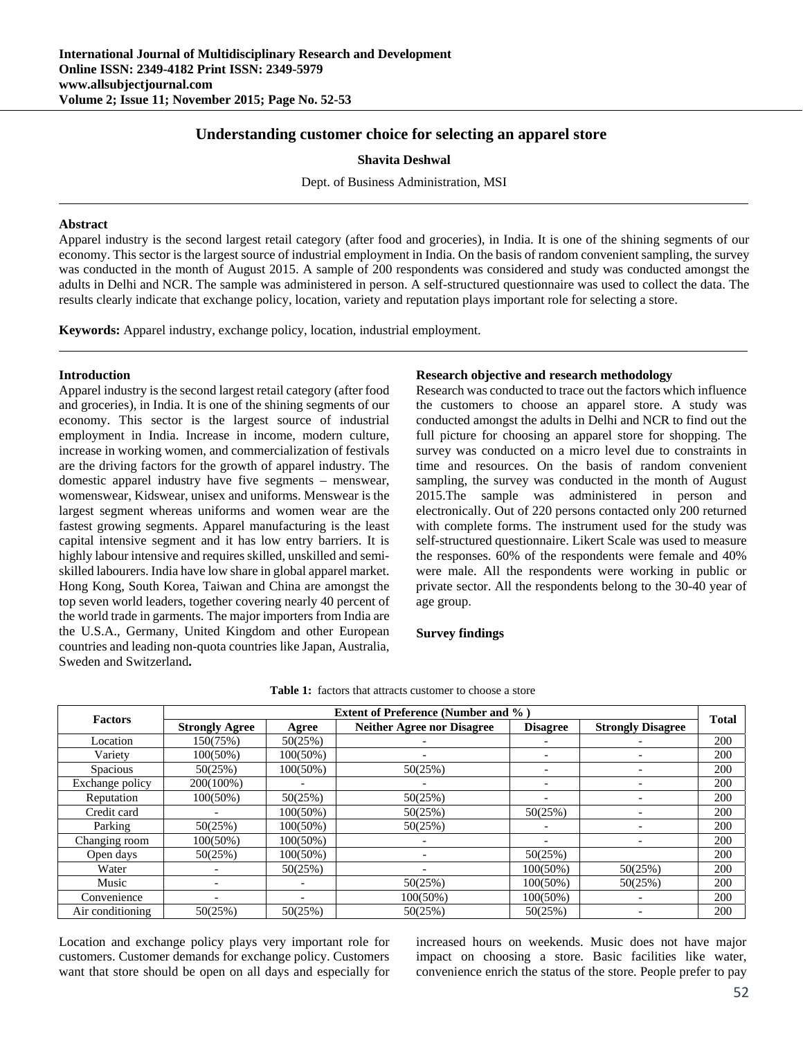# **Understanding customer choice for selecting an apparel store**

**Shavita Deshwal** 

Dept. of Business Administration, MSI

#### **Abstract**

Apparel industry is the second largest retail category (after food and groceries), in India. It is one of the shining segments of our economy. This sector is the largest source of industrial employment in India. On the basis of random convenient sampling, the survey was conducted in the month of August 2015. A sample of 200 respondents was considered and study was conducted amongst the adults in Delhi and NCR. The sample was administered in person. A self-structured questionnaire was used to collect the data. The results clearly indicate that exchange policy, location, variety and reputation plays important role for selecting a store.

**Keywords:** Apparel industry, exchange policy, location, industrial employment.

## **Introduction**

Apparel industry is the second largest retail category (after food and groceries), in India. It is one of the shining segments of our economy. This sector is the largest source of industrial employment in India. Increase in income, modern culture, increase in working women, and commercialization of festivals are the driving factors for the growth of apparel industry. The domestic apparel industry have five segments – menswear, womenswear, Kidswear, unisex and uniforms. Menswear is the largest segment whereas uniforms and women wear are the fastest growing segments. Apparel manufacturing is the least capital intensive segment and it has low entry barriers. It is highly labour intensive and requires skilled, unskilled and semiskilled labourers. India have low share in global apparel market. Hong Kong, South Korea, Taiwan and China are amongst the top seven world leaders, together covering nearly 40 percent of the world trade in garments. The major importers from India are the U.S.A., Germany, United Kingdom and other European countries and leading non-quota countries like Japan, Australia, Sweden and Switzerland**.** 

## **Research objective and research methodology**

Research was conducted to trace out the factors which influence the customers to choose an apparel store. A study was conducted amongst the adults in Delhi and NCR to find out the full picture for choosing an apparel store for shopping. The survey was conducted on a micro level due to constraints in time and resources. On the basis of random convenient sampling, the survey was conducted in the month of August 2015.The sample was administered in person and electronically. Out of 220 persons contacted only 200 returned with complete forms. The instrument used for the study was self-structured questionnaire. Likert Scale was used to measure the responses. 60% of the respondents were female and 40% were male. All the respondents were working in public or private sector. All the respondents belong to the 30-40 year of age group.

#### **Survey findings**

| <b>Factors</b>   | <b>Extent of Preference (Number and %)</b> |             |                                   |                          |                          |              |
|------------------|--------------------------------------------|-------------|-----------------------------------|--------------------------|--------------------------|--------------|
|                  | <b>Strongly Agree</b>                      | Agree       | <b>Neither Agree nor Disagree</b> | <b>Disagree</b>          | <b>Strongly Disagree</b> | <b>Total</b> |
| Location         | 150(75%)                                   | 50(25%)     |                                   |                          |                          | 200          |
| Variety          | 100(50%)                                   | 100(50%)    |                                   |                          |                          | 200          |
| <b>Spacious</b>  | 50(25%)                                    | 100(50%)    | 50(25%)                           |                          |                          | 200          |
| Exchange policy  | 200(100%)                                  |             |                                   | $\overline{\phantom{a}}$ |                          | 200          |
| Reputation       | 100(50%)                                   | 50(25%)     | 50(25%)                           |                          |                          | 200          |
| Credit card      |                                            | 100(50%)    | 50(25%)                           | 50(25%)                  | $\overline{\phantom{0}}$ | 200          |
| Parking          | 50(25%)                                    | 100(50%)    | 50(25%)                           |                          |                          | 200          |
| Changing room    | 100(50%)                                   | 100(50%)    | -                                 | $\overline{\phantom{0}}$ | $\overline{\phantom{0}}$ | 200          |
| Open days        | 50(25%)                                    | $100(50\%)$ | -                                 | 50(25%)                  |                          | 200          |
| Water            |                                            | 50(25%)     |                                   | 100(50%)                 | 50(25%)                  | 200          |
| Music            |                                            |             | 50(25%)                           | $100(50\%)$              | 50(25%)                  | 200          |
| Convenience      |                                            |             | $100(50\%)$                       | $100(50\%)$              |                          | 200          |
| Air conditioning | 50(25%)                                    | 50(25%)     | 50(25%)                           | 50(25%)                  |                          | 200          |

**Table 1:** factors that attracts customer to choose a store

Location and exchange policy plays very important role for customers. Customer demands for exchange policy. Customers want that store should be open on all days and especially for

increased hours on weekends. Music does not have major impact on choosing a store. Basic facilities like water, convenience enrich the status of the store. People prefer to pay